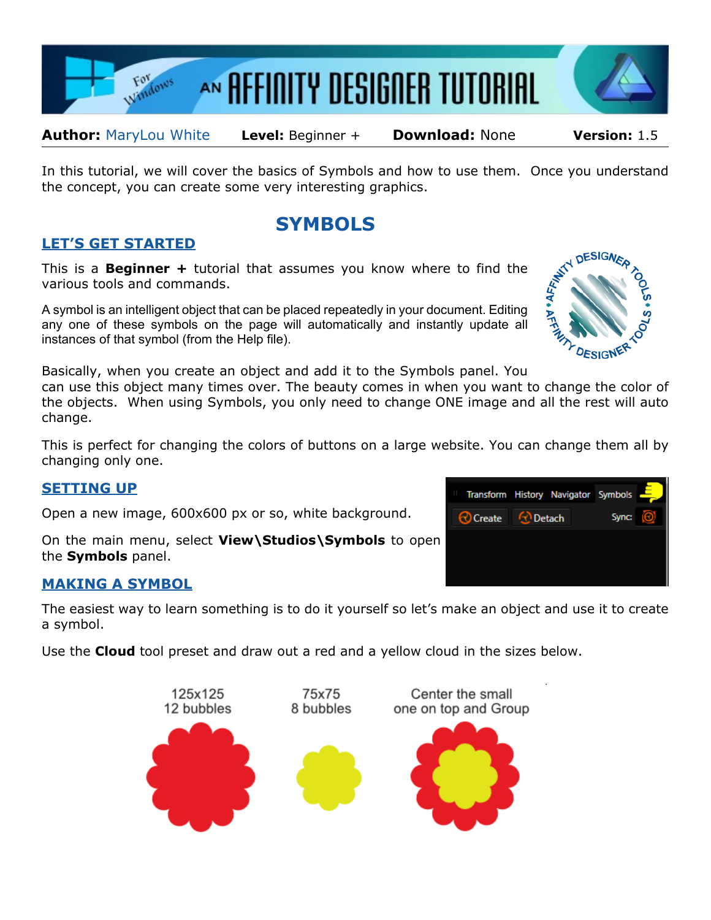

**Author:** [MaryLou White](mailto:mlwhite@pircnet.com) **Level:** Beginner + **Download:** None **Version:** 1.5

In this tutorial, we will cover the basics of Symbols and how to use them. Once you understand the concept, you can create some very interesting graphics.

# **SYMBOLS**

## **LET'S GET STARTED**

This is a **Beginner +** tutorial that assumes you know where to find the various tools and commands.

A symbol is an intelligent object that can be placed repeatedly in your document. Editing any one of these symbols on the page will automatically and instantly update all instances of that symbol (from the Help file).

Basically, when you create an object and add it to the Symbols panel. You

can use this object many times over. The beauty comes in when you want to change the color of the objects. When using Symbols, you only need to change ONE image and all the rest will auto change.

This is perfect for changing the colors of buttons on a large website. You can change them all by changing only one.

#### **SETTING UP**

Open a new image, 600x600 px or so, white background.

On the main menu, select **View\Studios\Symbols** to open the **Symbols** panel.

### **MAKING A SYMBOL**

The easiest way to learn something is to do it yourself so let's make an object and use it to create a symbol.

Use the **Cloud** tool preset and draw out a red and a yellow cloud in the sizes below.





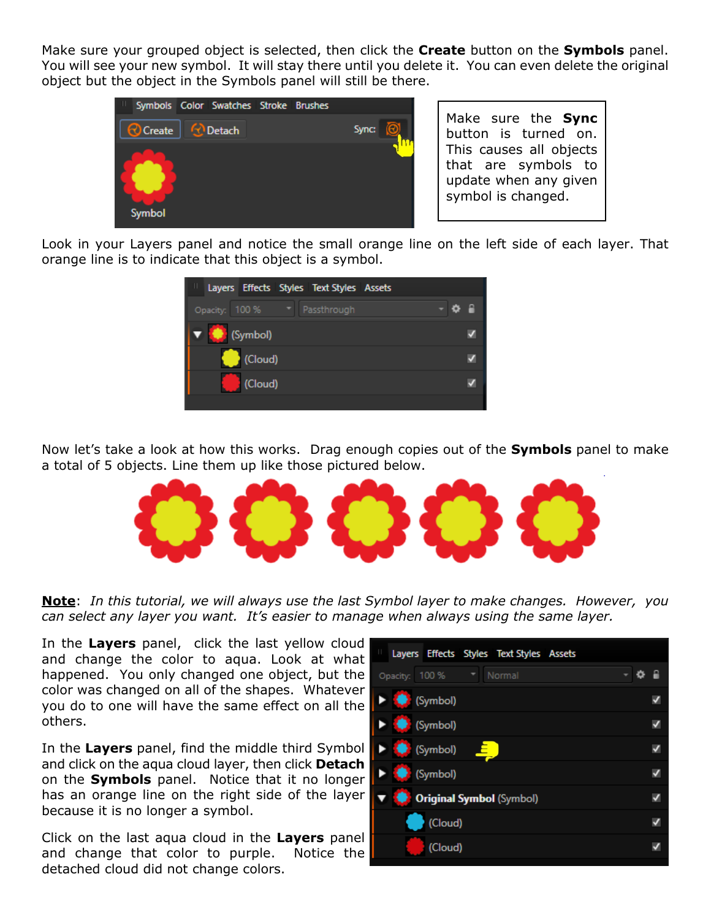Make sure your grouped object is selected, then click the **Create** button on the **Symbols** panel. You will see your new symbol. It will stay there until you delete it. You can even delete the original object but the object in the Symbols panel will still be there.



Make sure the **Sync** button is turned on. This causes all objects that are symbols to update when any given symbol is changed.

Look in your Layers panel and notice the small orange line on the left side of each layer. That orange line is to indicate that this object is a symbol.



Now let's take a look at how this works. Drag enough copies out of the **Symbols** panel to make a total of 5 objects. Line them up like those pictured below.



**Note**: *In this tutorial, we will always use the last Symbol layer to make changes. However, you can select any layer you want. It's easier to manage when always using the same layer.*

In the **Layers** panel, click the last yellow cloud and change the color to aqua. Look at what happened. You only changed one object, but the color was changed on all of the shapes. Whatever you do to one will have the same effect on all the others.

In the **Layers** panel, find the middle third Symbol and click on the aqua cloud layer, then click **Detach** on the **Symbols** panel. Notice that it no longer has an orange line on the right side of the layer because it is no longer a symbol.

Click on the last aqua cloud in the **Layers** panel and change that color to purple. Notice the detached cloud did not change colors.

| - 2 |
|-----|
| N   |
| V   |
| V   |
| V   |
| V   |
| ✓   |
|     |
|     |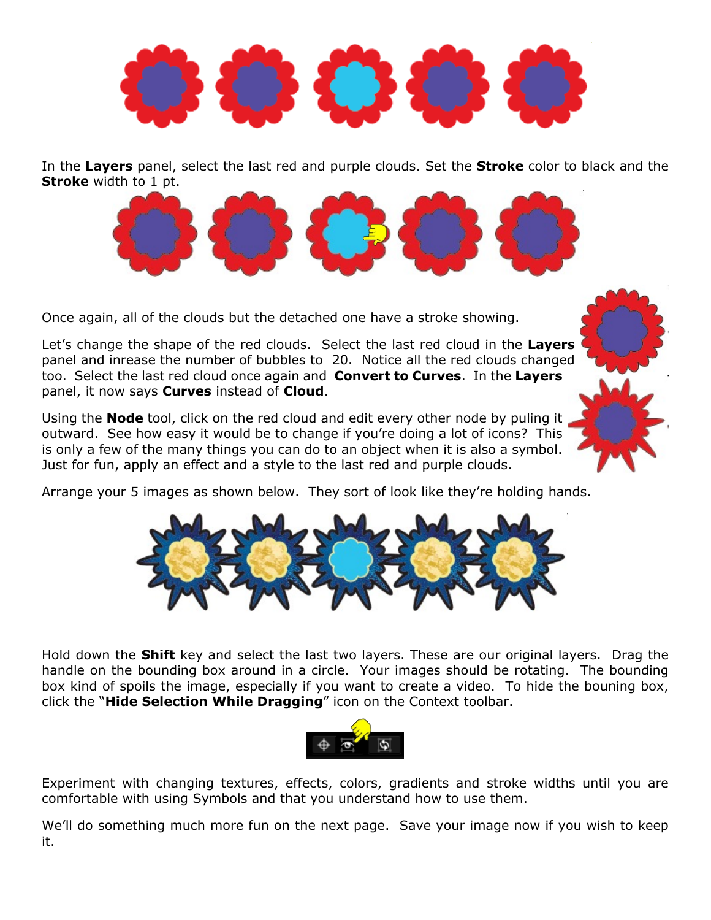

In the **Layers** panel, select the last red and purple clouds. Set the **Stroke** color to black and the **Stroke** width to 1 pt.



Once again, all of the clouds but the detached one have a stroke showing.

Let's change the shape of the red clouds. Select the last red cloud in the **Layers** panel and inrease the number of bubbles to 20. Notice all the red clouds changed too. Select the last red cloud once again and **Convert to Curves**. In the **Layers** panel, it now says **Curves** instead of **Cloud**.

Using the **Node** tool, click on the red cloud and edit every other node by puling it outward. See how easy it would be to change if you're doing a lot of icons? This is only a few of the many things you can do to an object when it is also a symbol. Just for fun, apply an effect and a style to the last red and purple clouds.

Arrange your 5 images as shown below. They sort of look like they're holding hands.



Hold down the **Shift** key and select the last two layers. These are our original layers. Drag the handle on the bounding box around in a circle. Your images should be rotating. The bounding box kind of spoils the image, especially if you want to create a video. To hide the bouning box, click the "**Hide Selection While Dragging**" icon on the Context toolbar.



Experiment with changing textures, effects, colors, gradients and stroke widths until you are comfortable with using Symbols and that you understand how to use them.

[We'll do s](http://pircnet.com)omething much more fu[n on the nex](http://pirc-forum.com)[t](http://pircnet.com) page. Save your image now if you wish to keep it.